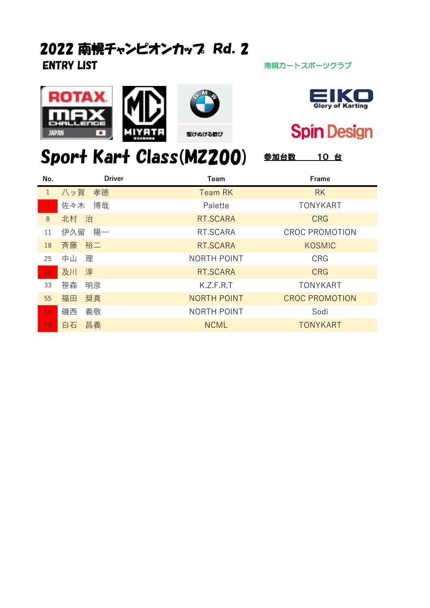## ENTRY LIST **ENTRY LIST** アイディスク インタン おんない おおし 南幌カートスポーツクラブ 2022 南幌チャンピオンカッフ Rd. 2







## **Spin Design**

## Sport Kart Class(MZ200) 参加台数 10台 No. Team Frame Driver

| .            |           | .                  | .                     |
|--------------|-----------|--------------------|-----------------------|
| $\mathbf{1}$ | 八ッ賀 孝徳    | <b>Team RK</b>     | <b>RK</b>             |
|              | 佐々木 博哉    | Palette            | <b>TONYKART</b>       |
| 8            | 北村 治      | RT.SCARA           | <b>CRG</b>            |
| 11           | 伊久留<br>陽一 | RT.SCARA           | <b>CROC PROMOTION</b> |
| 18           | 裕二<br>斉藤  | RT.SCARA           | <b>KOSMIC</b>         |
| 25           | 中山<br>理   | <b>NORTH POINT</b> | <b>CRG</b>            |
| 28           | 淳<br>及川   | RT.SCARA           | <b>CRG</b>            |
| 33           | 笹森<br>明彦  | K.Z.F.R.T          | <b>TONYKART</b>       |
| 55           | 奨真<br>福田  | <b>NORTH POINT</b> | <b>CROC PROMOTION</b> |
| 56           | 義敬<br>磯西  | NORTH POINT        | Sodi                  |
| 58           | 昌義<br>白石  | <b>NCML</b>        | <b>TONYKART</b>       |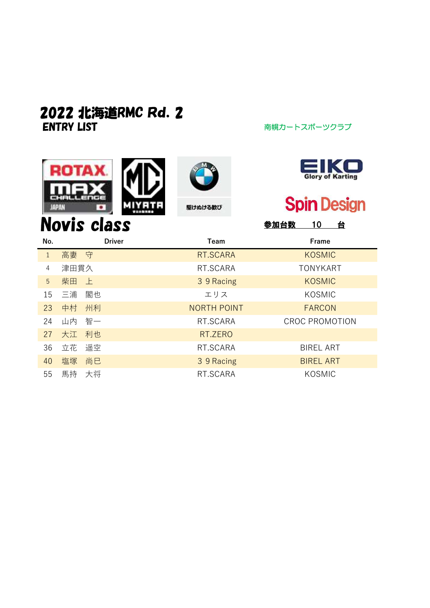## ENTRY LIST アイディング アイディング 南幌カートスポーツクラブ 2022 北海道RMC Rd.2

ROI

гд х







Novis class **Novis class Novis class** 

| No.         |      |    | <b>Driver</b> | Team               | Frame                 |
|-------------|------|----|---------------|--------------------|-----------------------|
| $\mathbf 1$ | 高妻 守 |    |               | RT.SCARA           | <b>KOSMIC</b>         |
| 4           | 津田貫久 |    |               | RT.SCARA           | <b>TONYKART</b>       |
| 5           | 柴田   | 上  |               | 3 9 Racing         | <b>KOSMIC</b>         |
| 15          | 三浦   | 閣也 |               | エリス                | KOSMIC                |
| 23          | 中村   | 州利 |               | <b>NORTH POINT</b> | <b>FARCON</b>         |
| 24          | 山内   | 智一 |               | RT.SCARA           | <b>CROC PROMOTION</b> |
| 27          | 大江   | 利也 |               | RT.ZERO            |                       |
| 36          | 立花   | 遥空 |               | RT.SCARA           | <b>BIREL ART</b>      |
| 40          | 塩塚   | 尚巳 |               | 3 9 Racing         | <b>BIREL ART</b>      |
| 55          | 馬持   | 大将 |               | RT.SCARA           | KOSMIC                |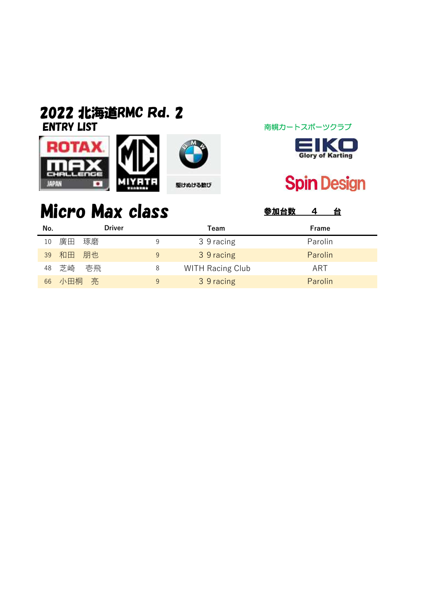### ENTRY LIST アイディング アイディング 南幌カートスポーツクラブ 2022 北海道RMC Rd.2







# **Spin Design**

# Micro Max class **Sunday** 4 台

| No. | <b>Driver</b> |   | Team                    | Frame   |
|-----|---------------|---|-------------------------|---------|
| 10  | 廣田<br>琢磨      | 9 | 3 9 racing              | Parolin |
| 39  | 和田 朋也         | 9 | 3 9 racing              | Parolin |
| 48  | 壱飛<br>芝崎      | 8 | <b>WITH Racing Club</b> | ART     |
| 66  | 小田桐<br>亮      | 9 | 3 9 racing              | Parolin |